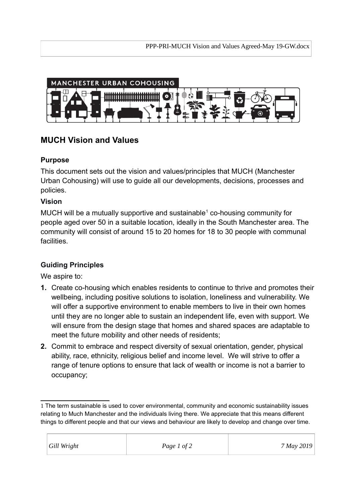

# **MUCH Vision and Values**

### **Purpose**

This document sets out the vision and values/principles that MUCH (Manchester Urban Cohousing) will use to guide all our developments, decisions, processes and policies.

### **Vision**

MUCH will be a mutually supportive and sustainable<sup>[1](#page-0-0)</sup> co-housing community for people aged over 50 in a suitable location, ideally in the South Manchester area. The community will consist of around 15 to 20 homes for 18 to 30 people with communal facilities.

## **Guiding Principles**

We aspire to:

- **1.** Create co-housing which enables residents to continue to thrive and promotes their wellbeing, including positive solutions to isolation, loneliness and vulnerability. We will offer a supportive environment to enable members to live in their own homes until they are no longer able to sustain an independent life, even with support. We will ensure from the design stage that homes and shared spaces are adaptable to meet the future mobility and other needs of residents;
- **2.** Commit to embrace and respect diversity of sexual orientation, gender, physical ability, race, ethnicity, religious belief and income level. We will strive to offer a range of tenure options to ensure that lack of wealth or income is not a barrier to occupancy;

<span id="page-0-0"></span><sup>1</sup> The term sustainable is used to cover environmental, community and economic sustainability issues relating to Much Manchester and the individuals living there. We appreciate that this means different things to different people and that our views and behaviour are likely to develop and change over time.

| Gill Wright | Page 1 of 2 | 7 May 2019 |
|-------------|-------------|------------|
|             |             |            |